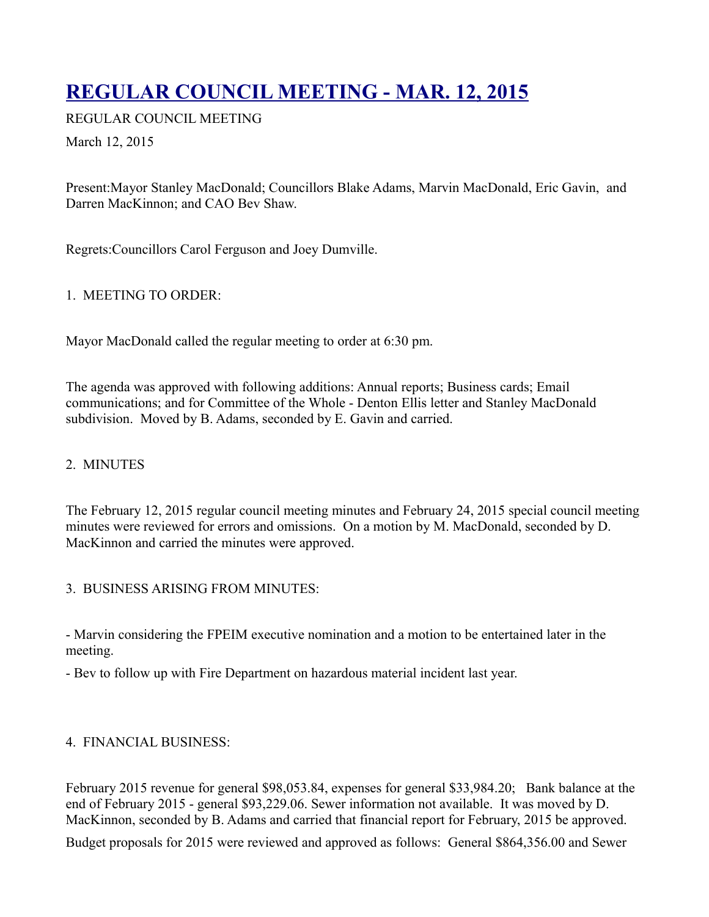# **[REGULAR COUNCIL MEETING - MAR. 12, 2015](http://townofoleary.com/index.php/council-meetings/84-regular-council-meeting-mar-12-2015)**

REGULAR COUNCIL MEETING

March 12, 2015

Present:Mayor Stanley MacDonald; Councillors Blake Adams, Marvin MacDonald, Eric Gavin, and Darren MacKinnon; and CAO Bev Shaw.

Regrets:Councillors Carol Ferguson and Joey Dumville.

## 1. MEETING TO ORDER:

Mayor MacDonald called the regular meeting to order at 6:30 pm.

The agenda was approved with following additions: Annual reports; Business cards; Email communications; and for Committee of the Whole - Denton Ellis letter and Stanley MacDonald subdivision. Moved by B. Adams, seconded by E. Gavin and carried.

## 2. MINUTES

The February 12, 2015 regular council meeting minutes and February 24, 2015 special council meeting minutes were reviewed for errors and omissions. On a motion by M. MacDonald, seconded by D. MacKinnon and carried the minutes were approved.

## 3. BUSINESS ARISING FROM MINUTES:

- Marvin considering the FPEIM executive nomination and a motion to be entertained later in the meeting.

- Bev to follow up with Fire Department on hazardous material incident last year.

## 4. FINANCIAL BUSINESS:

February 2015 revenue for general \$98,053.84, expenses for general \$33,984.20; Bank balance at the end of February 2015 - general \$93,229.06. Sewer information not available. It was moved by D. MacKinnon, seconded by B. Adams and carried that financial report for February, 2015 be approved.

Budget proposals for 2015 were reviewed and approved as follows: General \$864,356.00 and Sewer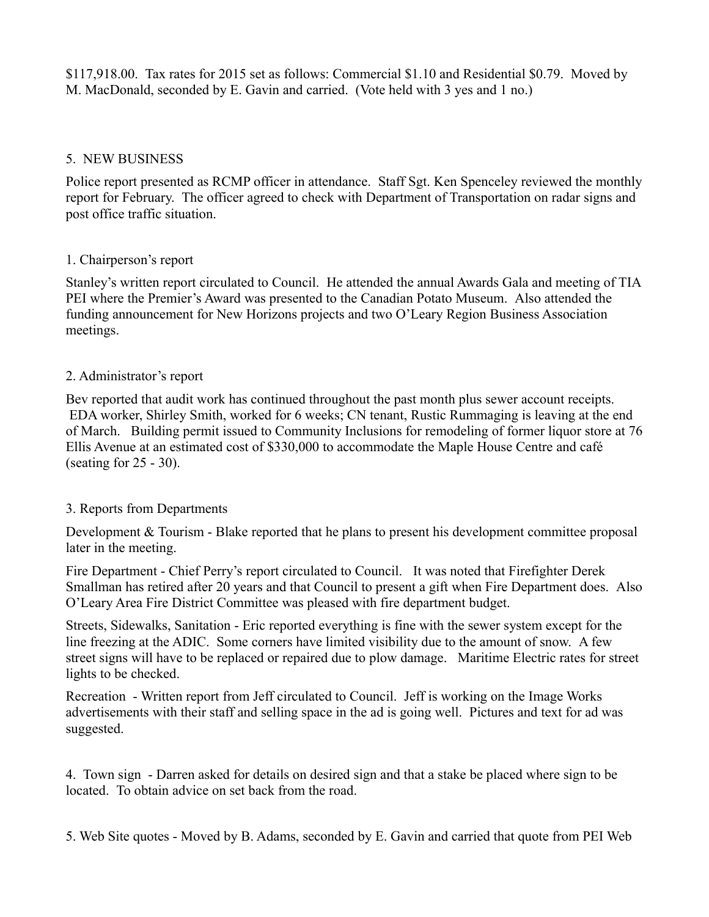\$117,918.00. Tax rates for 2015 set as follows: Commercial \$1.10 and Residential \$0.79. Moved by M. MacDonald, seconded by E. Gavin and carried. (Vote held with 3 yes and 1 no.)

#### 5. NEW BUSINESS

Police report presented as RCMP officer in attendance. Staff Sgt. Ken Spenceley reviewed the monthly report for February. The officer agreed to check with Department of Transportation on radar signs and post office traffic situation.

## 1. Chairperson's report

Stanley's written report circulated to Council. He attended the annual Awards Gala and meeting of TIA PEI where the Premier's Award was presented to the Canadian Potato Museum. Also attended the funding announcement for New Horizons projects and two O'Leary Region Business Association meetings.

#### 2. Administrator's report

Bev reported that audit work has continued throughout the past month plus sewer account receipts. EDA worker, Shirley Smith, worked for 6 weeks; CN tenant, Rustic Rummaging is leaving at the end of March. Building permit issued to Community Inclusions for remodeling of former liquor store at 76 Ellis Avenue at an estimated cost of \$330,000 to accommodate the Maple House Centre and café (seating for 25 - 30).

## 3. Reports from Departments

Development & Tourism - Blake reported that he plans to present his development committee proposal later in the meeting.

Fire Department - Chief Perry's report circulated to Council. It was noted that Firefighter Derek Smallman has retired after 20 years and that Council to present a gift when Fire Department does. Also O'Leary Area Fire District Committee was pleased with fire department budget.

Streets, Sidewalks, Sanitation - Eric reported everything is fine with the sewer system except for the line freezing at the ADIC. Some corners have limited visibility due to the amount of snow. A few street signs will have to be replaced or repaired due to plow damage. Maritime Electric rates for street lights to be checked.

Recreation - Written report from Jeff circulated to Council. Jeff is working on the Image Works advertisements with their staff and selling space in the ad is going well. Pictures and text for ad was suggested.

4. Town sign - Darren asked for details on desired sign and that a stake be placed where sign to be located. To obtain advice on set back from the road.

5. Web Site quotes - Moved by B. Adams, seconded by E. Gavin and carried that quote from PEI Web